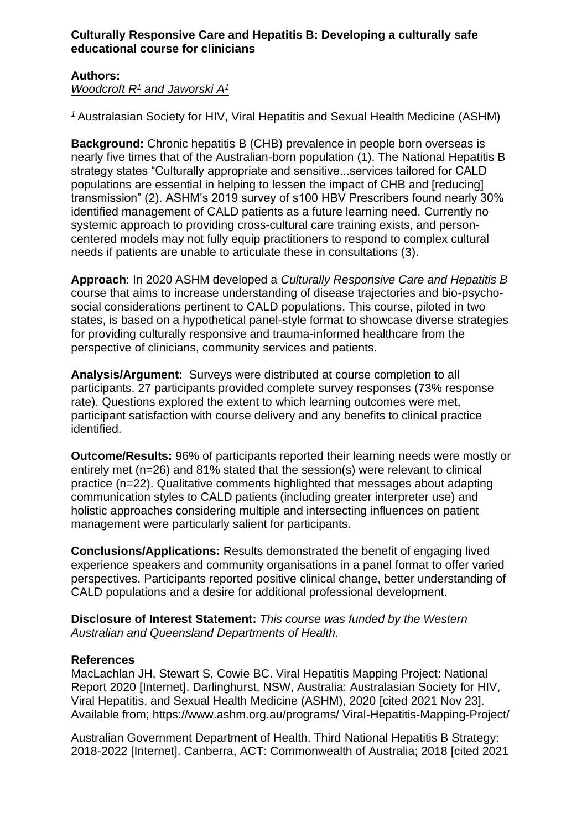## **Culturally Responsive Care and Hepatitis B: Developing a culturally safe educational course for clinicians**

## **Authors:**

*Woodcroft R<sup>1</sup> and Jaworski A<sup>1</sup>*

*<sup>1</sup>*Australasian Society for HIV, Viral Hepatitis and Sexual Health Medicine (ASHM)

**Background:** Chronic hepatitis B (CHB) prevalence in people born overseas is nearly five times that of the Australian-born population (1). The National Hepatitis B strategy states "Culturally appropriate and sensitive...services tailored for CALD populations are essential in helping to lessen the impact of CHB and [reducing] transmission" (2). ASHM's 2019 survey of s100 HBV Prescribers found nearly 30% identified management of CALD patients as a future learning need. Currently no systemic approach to providing cross-cultural care training exists, and personcentered models may not fully equip practitioners to respond to complex cultural needs if patients are unable to articulate these in consultations (3).

**Approach**: In 2020 ASHM developed a *Culturally Responsive Care and Hepatitis B* course that aims to increase understanding of disease trajectories and bio-psychosocial considerations pertinent to CALD populations. This course, piloted in two states, is based on a hypothetical panel-style format to showcase diverse strategies for providing culturally responsive and trauma-informed healthcare from the perspective of clinicians, community services and patients.

**Analysis/Argument:** Surveys were distributed at course completion to all participants. 27 participants provided complete survey responses (73% response rate). Questions explored the extent to which learning outcomes were met, participant satisfaction with course delivery and any benefits to clinical practice identified.

**Outcome/Results:** 96% of participants reported their learning needs were mostly or entirely met (n=26) and 81% stated that the session(s) were relevant to clinical practice (n=22). Qualitative comments highlighted that messages about adapting communication styles to CALD patients (including greater interpreter use) and holistic approaches considering multiple and intersecting influences on patient management were particularly salient for participants.

**Conclusions/Applications:** Results demonstrated the benefit of engaging lived experience speakers and community organisations in a panel format to offer varied perspectives. Participants reported positive clinical change, better understanding of CALD populations and a desire for additional professional development.

**Disclosure of Interest Statement:** *This course was funded by the Western Australian and Queensland Departments of Health.*

## **References**

MacLachlan JH, Stewart S, Cowie BC. Viral Hepatitis Mapping Project: National Report 2020 [Internet]. Darlinghurst, NSW, Australia: Australasian Society for HIV, Viral Hepatitis, and Sexual Health Medicine (ASHM), 2020 [cited 2021 Nov 23]. Available from; https://www.ashm.org.au/programs/ Viral-Hepatitis-Mapping-Project/

Australian Government Department of Health. Third National Hepatitis B Strategy: 2018-2022 [Internet]. Canberra, ACT: Commonwealth of Australia; 2018 [cited 2021